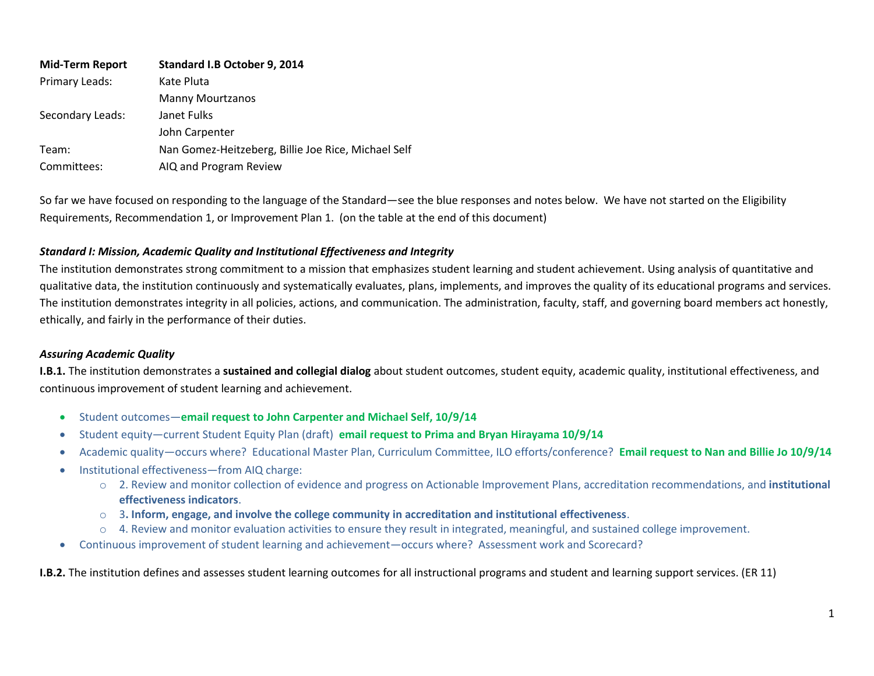| <b>Mid-Term Report</b> | Standard I.B October 9, 2014                        |  |
|------------------------|-----------------------------------------------------|--|
| Primary Leads:         | Kate Pluta                                          |  |
|                        | <b>Manny Mourtzanos</b>                             |  |
| Secondary Leads:       | Janet Fulks                                         |  |
|                        | John Carpenter                                      |  |
| Team:                  | Nan Gomez-Heitzeberg, Billie Joe Rice, Michael Self |  |
| Committees:            | AIQ and Program Review                              |  |

So far we have focused on responding to the language of the Standard—see the blue responses and notes below. We have not started on the Eligibility Requirements, Recommendation 1, or Improvement Plan 1. (on the table at the end of this document)

## *Standard I: Mission, Academic Quality and Institutional Effectiveness and Integrity*

The institution demonstrates strong commitment to a mission that emphasizes student learning and student achievement. Using analysis of quantitative and qualitative data, the institution continuously and systematically evaluates, plans, implements, and improves the quality of its educational programs and services. The institution demonstrates integrity in all policies, actions, and communication. The administration, faculty, staff, and governing board members act honestly, ethically, and fairly in the performance of their duties.

## *Assuring Academic Quality*

**I.B.1.** The institution demonstrates a **sustained and collegial dialog** about student outcomes, student equity, academic quality, institutional effectiveness, and continuous improvement of student learning and achievement.

- Student outcomes—**email request to John Carpenter and Michael Self, 10/9/14**
- Student equity—current Student Equity Plan (draft) **email request to Prima and Bryan Hirayama 10/9/14**
- Academic quality—occurs where? Educational Master Plan, Curriculum Committee, ILO efforts/conference? **Email request to Nan and Billie Jo 10/9/14**
- Institutional effectiveness—from AIQ charge:
	- o 2. Review and monitor collection of evidence and progress on Actionable Improvement Plans, accreditation recommendations, and **institutional effectiveness indicators**.
	- o 3**. Inform, engage, and involve the college community in accreditation and institutional effectiveness**.
	- o 4. Review and monitor evaluation activities to ensure they result in integrated, meaningful, and sustained college improvement.
- Continuous improvement of student learning and achievement—occurs where? Assessment work and Scorecard?

**I.B.2.** The institution defines and assesses student learning outcomes for all instructional programs and student and learning support services. (ER 11)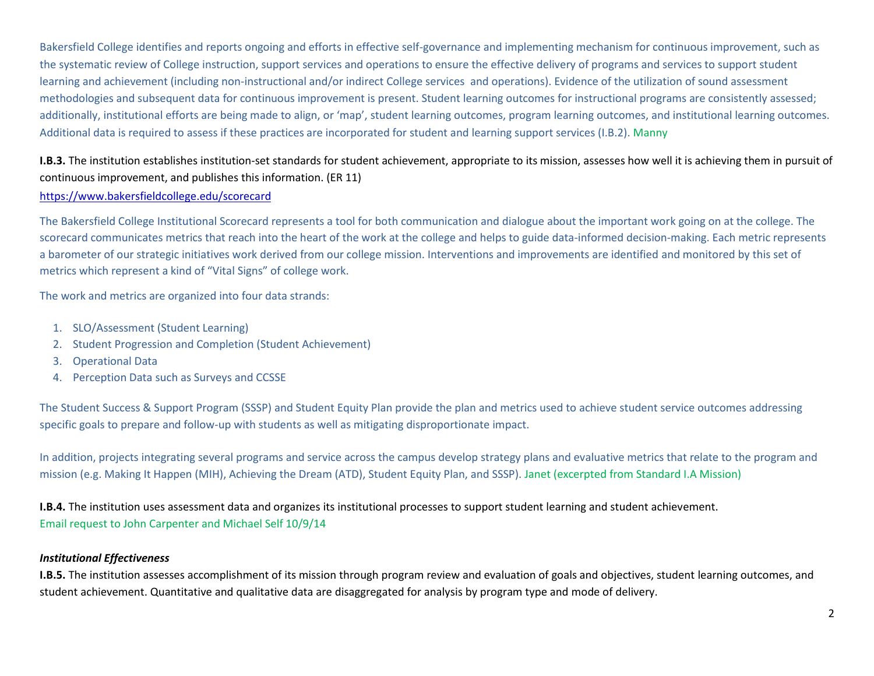Bakersfield College identifies and reports ongoing and efforts in effective self-governance and implementing mechanism for continuous improvement, such as the systematic review of College instruction, support services and operations to ensure the effective delivery of programs and services to support student learning and achievement (including non-instructional and/or indirect College services and operations). Evidence of the utilization of sound assessment methodologies and subsequent data for continuous improvement is present. Student learning outcomes for instructional programs are consistently assessed; additionally, institutional efforts are being made to align, or 'map', student learning outcomes, program learning outcomes, and institutional learning outcomes. Additional data is required to assess if these practices are incorporated for student and learning support services (I.B.2). Manny

# **I.B.3.** The institution establishes institution-set standards for student achievement, appropriate to its mission, assesses how well it is achieving them in pursuit of continuous improvement, and publishes this information. (ER 11)

# <https://www.bakersfieldcollege.edu/scorecard>

The Bakersfield College Institutional Scorecard represents a tool for both communication and dialogue about the important work going on at the college. The scorecard communicates metrics that reach into the heart of the work at the college and helps to guide data-informed decision-making. Each metric represents a barometer of our strategic initiatives work derived from our college mission. Interventions and improvements are identified and monitored by this set of metrics which represent a kind of "Vital Signs" of college work.

The work and metrics are organized into four data strands:

- 1. [SLO/Assessment \(Student Learning\)](https://www.bakersfieldcollege.edu/scorecard/slo)
- 2. [Student Progression and Completion \(Student Achievement\)](https://www.bakersfieldcollege.edu/scorecard/completion)
- 3. [Operational Data](https://www.bakersfieldcollege.edu/scorecard/operational)
- 4. [Perception Data such as Surveys and CCSSE](https://www.bakersfieldcollege.edu/scorecard/perception)

The Student Success & Support Program (SSSP) and Student Equity Plan provide the plan and metrics used to achieve student service outcomes addressing specific goals to prepare and follow-up with students as well as mitigating disproportionate impact.

In addition, projects integrating several programs and service across the campus develop strategy plans and evaluative metrics that relate to the program and mission (e.g. Making It Happen (MIH), Achieving the Dream (ATD), Student Equity Plan, and SSSP). Janet (excerpted from Standard I.A Mission)

**I.B.4.** The institution uses assessment data and organizes its institutional processes to support student learning and student achievement. Email request to John Carpenter and Michael Self 10/9/14

# *Institutional Effectiveness*

**I.B.5.** The institution assesses accomplishment of its mission through program review and evaluation of goals and objectives, student learning outcomes, and student achievement. Quantitative and qualitative data are disaggregated for analysis by program type and mode of delivery.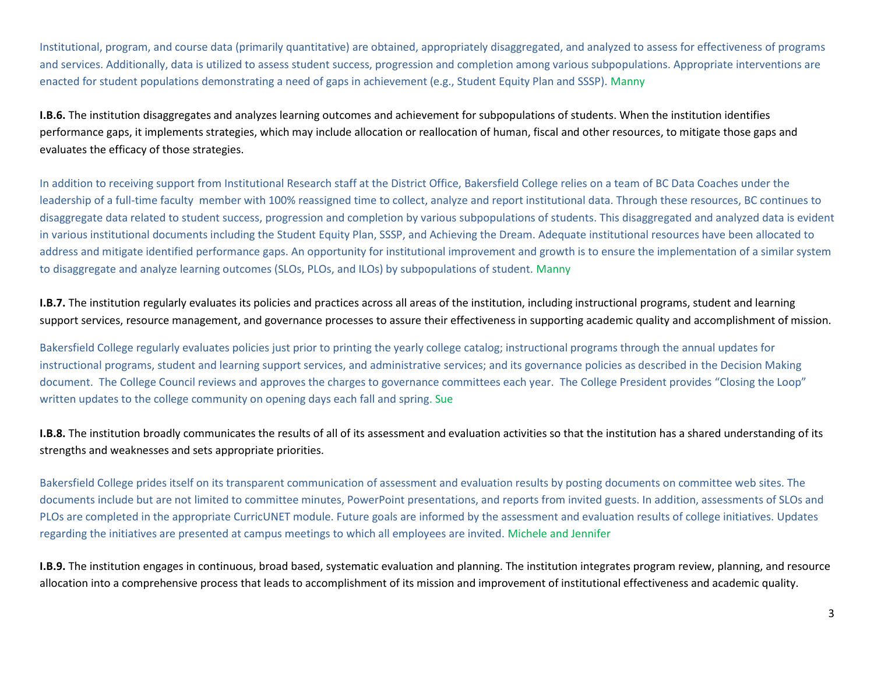Institutional, program, and course data (primarily quantitative) are obtained, appropriately disaggregated, and analyzed to assess for effectiveness of programs and services. Additionally, data is utilized to assess student success, progression and completion among various subpopulations. Appropriate interventions are enacted for student populations demonstrating a need of gaps in achievement (e.g., Student Equity Plan and SSSP). Manny

**I.B.6.** The institution disaggregates and analyzes learning outcomes and achievement for subpopulations of students. When the institution identifies performance gaps, it implements strategies, which may include allocation or reallocation of human, fiscal and other resources, to mitigate those gaps and evaluates the efficacy of those strategies.

In addition to receiving support from Institutional Research staff at the District Office, Bakersfield College relies on a team of BC Data Coaches under the leadership of a full-time faculty member with 100% reassigned time to collect, analyze and report institutional data. Through these resources, BC continues to disaggregate data related to student success, progression and completion by various subpopulations of students. This disaggregated and analyzed data is evident in various institutional documents including the Student Equity Plan, SSSP, and Achieving the Dream. Adequate institutional resources have been allocated to address and mitigate identified performance gaps. An opportunity for institutional improvement and growth is to ensure the implementation of a similar system to disaggregate and analyze learning outcomes (SLOs, PLOs, and ILOs) by subpopulations of student. Manny

**I.B.7.** The institution regularly evaluates its policies and practices across all areas of the institution, including instructional programs, student and learning support services, resource management, and governance processes to assure their effectiveness in supporting academic quality and accomplishment of mission.

Bakersfield College regularly evaluates policies just prior to printing the yearly college catalog; instructional programs through the annual updates for instructional programs, student and learning support services, and administrative services; and its governance policies as described in the Decision Making document. The College Council reviews and approves the charges to governance committees each year. The College President provides "Closing the Loop" written updates to the college community on opening days each fall and spring. Sue

**I.B.8.** The institution broadly communicates the results of all of its assessment and evaluation activities so that the institution has a shared understanding of its strengths and weaknesses and sets appropriate priorities.

Bakersfield College prides itself on its transparent communication of assessment and evaluation results by posting documents on committee web sites. The documents include but are not limited to committee minutes, PowerPoint presentations, and reports from invited guests. In addition, assessments of SLOs and PLOs are completed in the appropriate CurricUNET module. Future goals are informed by the assessment and evaluation results of college initiatives. Updates regarding the initiatives are presented at campus meetings to which all employees are invited. Michele and Jennifer

**I.B.9.** The institution engages in continuous, broad based, systematic evaluation and planning. The institution integrates program review, planning, and resource allocation into a comprehensive process that leads to accomplishment of its mission and improvement of institutional effectiveness and academic quality.